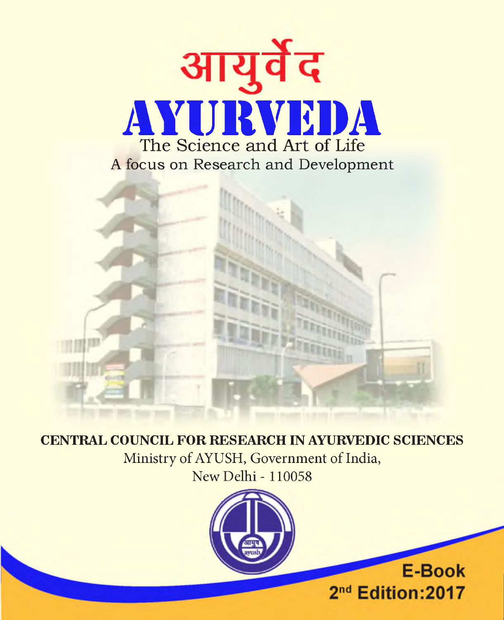



**CENTRAL COUNCIL FOR RESEARCH IN AYURVEDIC SCIENCES** Ministry of AYUSH, Government of India, New Delhi - 110058



**E-Book** 

2<sup>nd</sup> Edition:2017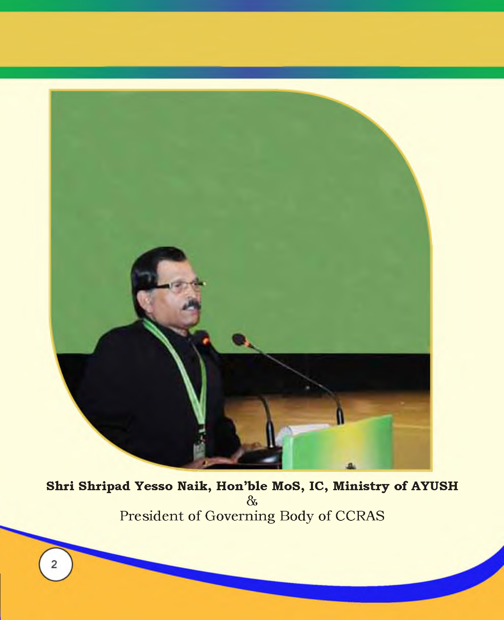

**Shri Shripad Yesso Naik, Hon'ble MoS, IC, Ministry of AYUSH** & President of Governing Body of CCRAS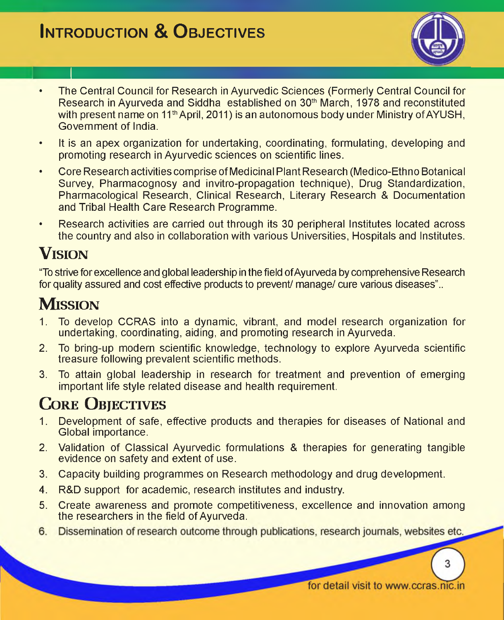

- The Central Council for Research in Ayurvedic Sciences (Formerly Central Council for Research in Ayurveda and Siddha established on 30th March, 1978 and reconstituted with present name on  $11<sup>th</sup>$  April, 2011) is an autonomous body under Ministry of AYUSH, Government of India.
- It is an apex organization for undertaking, coordinating, formulating, developing and promoting research in Ayurvedic sciences on scientific lines.
- Core Research activities comprise of Medicinal Plant Research (Medico-Ethno Botanical Survey, Pharmacognosy and invitro-propagation technique), Drug Standardization, Pharmacological Research, Clinical Research, Literary Research & Documentation and Tribal Health Care Research Programme.
- Research activities are carried out through its 30 peripheral Institutes located across the country and also in collaboration with various Universities, Hospitals and Institutes.

### **ViSION**

"To strive for excellence and global leadership in the field of Ayurveda by comprehensive Research for quality assured and cost effective products to prevent/ manage/ cure various diseases"..

### **MiSSION**

- 1. To develop CCRAS into a dynamic, vibrant, and model research organization for undertaking, coordinating, aiding, and promoting research in Ayurveda.
- 2. To bring-up modern scientific knowledge, technology to explore Ayurveda scientific treasure following prevalent scientific methods.
- 3. To attain global leadership in research for treatment and prevention of emerging important life style related disease and health requirement.

### **CORE OBIECTIVES**

- 1. Development of safe, effective products and therapies for diseases of National and Global importance.
- 2. Validation of Classical Ayurvedic formulations & therapies for generating tangible evidence on safety and extent of use.
- 3. Capacity building programmes on Research methodology and drug development.
- 4. R&D support for academic, research institutes and industry.
- 5. Create awareness and promote competitiveness, excellence and innovation among the researchers in the field of Ayurveda.
- Dissemination of research outcome through publications, research journals, websites etc. 6.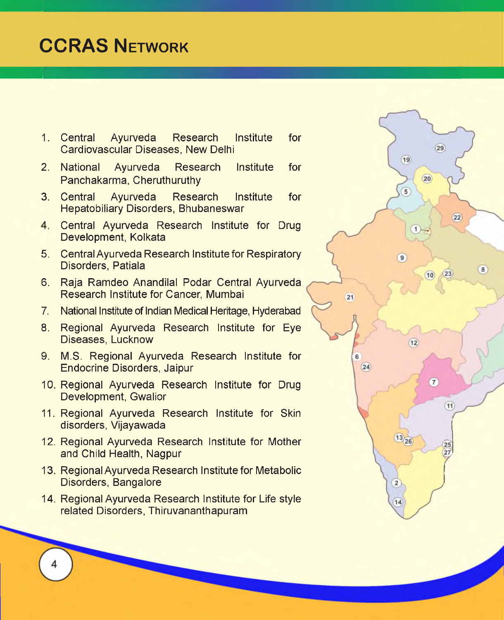### **C C R A S N etwork**

- 1. Ayurveda Research Institute for Cardiovascular Diseases, New Delhi
- 2. National Ayurveda Research Institute for Panchakarma, Cheruthuruthy
- 3. Central Ayurveda Research Institute for Hepatobiliary Disorders, Bhubaneswar
- Central Ayurveda Research Institute for Drug Development, Kolkata
- 5. Central Ayurveda Research Institute for Respiratory Disorders, Patiala
- 6. Raja Ramdeo Anandilal Podar Central Ayurveda Research Institute for Cancer, Mumbai
- 7. National Institute of Indian Medical Heritage, Hyderabad
- 8. Regional Ayurveda Research Institute for Eye Diseases, Lucknow
- 9. M.S. Regional Ayurveda Research Institute for Endocrine Disorders, Jaipur
- 10. Regional Ayurveda Research Institute for Drug Development, Gwalior
- 11. Regional Ayurveda Research Institute for Skin disorders, Vijayawada
- 12. Regional Ayurveda Research Institute for Mother and Child Health, Nagpur
- 13. Regional Ayurveda Research Institute for Metabolic Disorders, Bangalore
- 14. Regional Ayurveda Research Institute for Life style related Disorders, Thiruvananthapuram

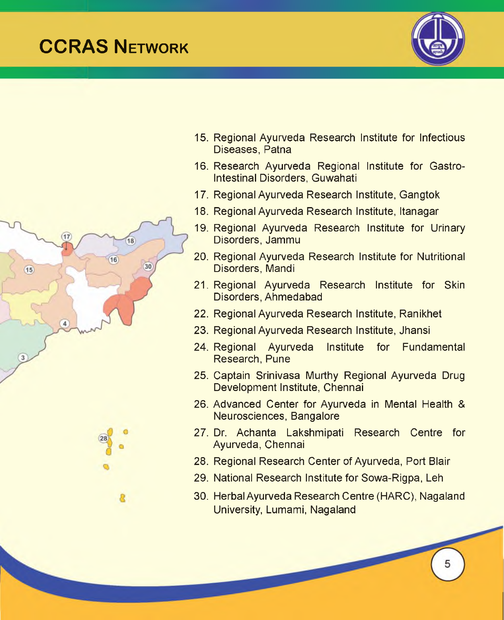# **C C R A S N etwork**





- 15. Regional Ayurveda Research Institute for Infectious Diseases, Patna
- 16. Research Ayurveda Regional Institute for Gastro-Intestinal Disorders, Guwahati
- 17. Regional Ayurveda Research Institute, Gangtok
- 18. Regional Ayurveda Research Institute, Itanagar
- 19. Regional Ayurveda Research Institute for Urinary Disorders, Jammu
- 20. Regional Ayurveda Research Institute for Nutritional Disorders, Mandi
- 21. Regional Ayurveda Research Institute for Skin Disorders, Ahmedabad
- 22. Regional Ayurveda Research Institute, Ranikhet
- 23. Regional Ayurveda Research Institute, Jhansi
- 24. Regional Ayurveda Institute for Fundamental Research, Pune
- 25. Captain Srinivasa Murthy Regional Ayurveda Drug Development Institute, Chennai
- 26. Advanced Center for Ayurveda in Mental Health & Neurosciences, Bangalore
- 27. Dr. Achanta Lakshmipati Research Centre for Ayurveda, Chennai
- 28. Regional Research Center of Ayurveda, Port Blair
- 29. National Research Institute for Sowa-Rigpa, Leh
- 30. Herbal Ayurveda Research Centre (HARC), Nagaland University, Lumami, Nagaland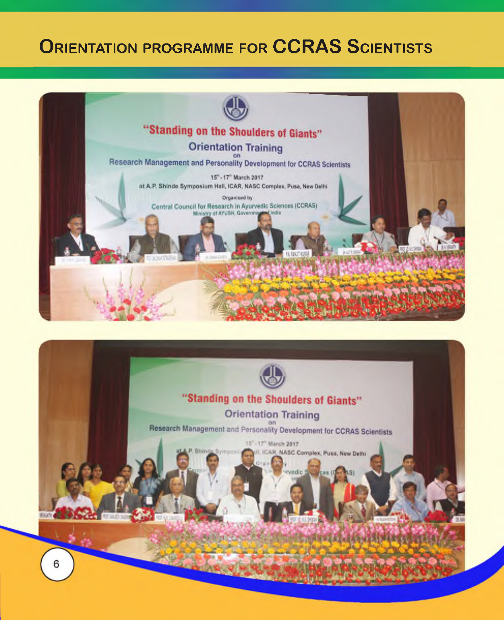### **ORIENTATION PROGRAMME FOR CCRAS SCIENTISTS**



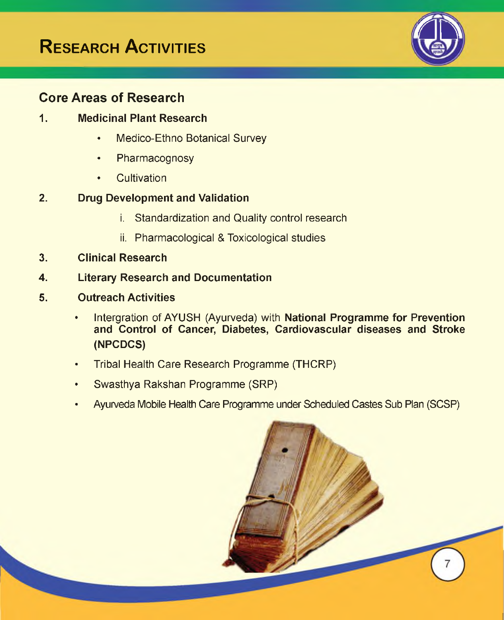## **R esearch A c tivities**



### **Core Areas of Research**

### **1. Medicinal Plant Research**

- Medico-Ethno Botanical Survey
- Pharmacognosy
- Cultivation

#### **2. Drug Development and Validation**

- i. Standardization and Quality control research
- ii. Pharmacological & Toxicological studies
- **3. Clinical Research**
- **4. Literary Research and Documentation**
- **5. Outreach Activities**
	- Intergration of AYUSH (Ayurveda) with **National Programme for Prevention and Control of Cancer, Diabetes, Cardiovascular diseases and Stroke (NPCDCS)**
	- Tribal Health Care Research Programme (THCRP)
	- Swasthya Rakshan Programme (SRP)
	- Ayurveda Mobile Health Care Programme under Scheduled Castes Sub Plan (SCSP)

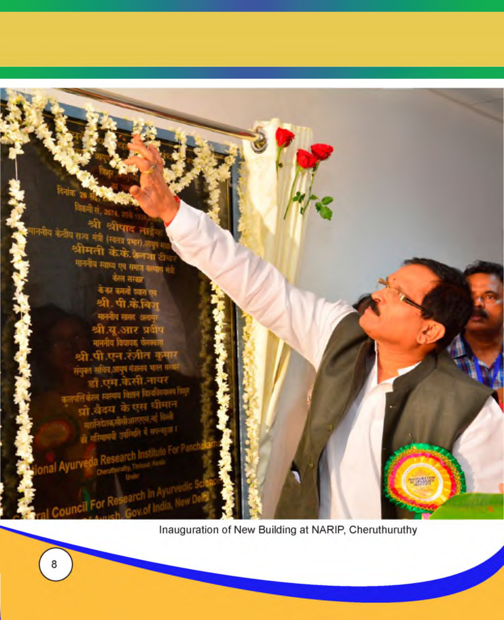ाननीय केन्द्रीय राज्य श्रीमती मानकेब स्वाय्य रन रजात

onal Ayurve

Inauguration of New Building at NARIP, Cheruthuruthy

一般的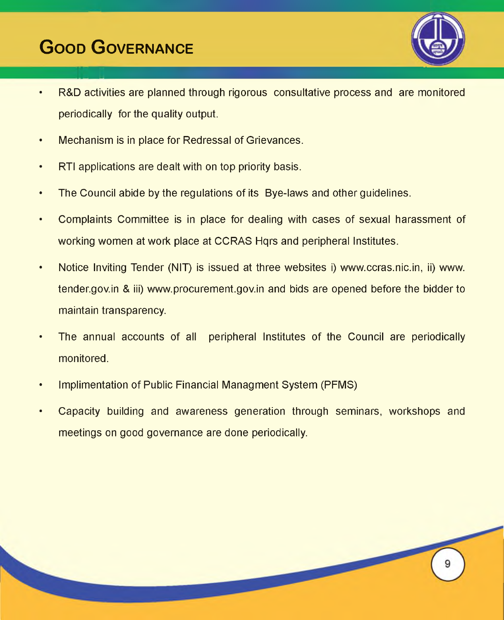# **GOOD GOVERNANCE**

^ ■



- R&D activities are planned through rigorous consultative process and are monitored periodically for the quality output.
- Mechanism is in place for Redressal of Grievances.
- RTI applications are dealt with on top priority basis.
- The Council abide by the regulations of its Bye-laws and other guidelines.
- Complaints Committee is in place for dealing with cases of sexual harassment of working women at work place at CCRAS Hqrs and peripheral Institutes.
- Notice Inviting Tender (NIT) is issued at three websites i) [www.ccras.nic.in,](http://www.ccras.nic.in) ii) www. tender.gov.in & iii) [www.procurement.gov.in](http://www.procurement.gov.in) and bids are opened before the bidder to maintain transparency.
- The annual accounts of all peripheral Institutes of the Council are periodically monitored.
- Implimentation of Public Financial Managment System (PFMS)
- Capacity building and awareness generation through seminars, workshops and meetings on good governance are done periodically.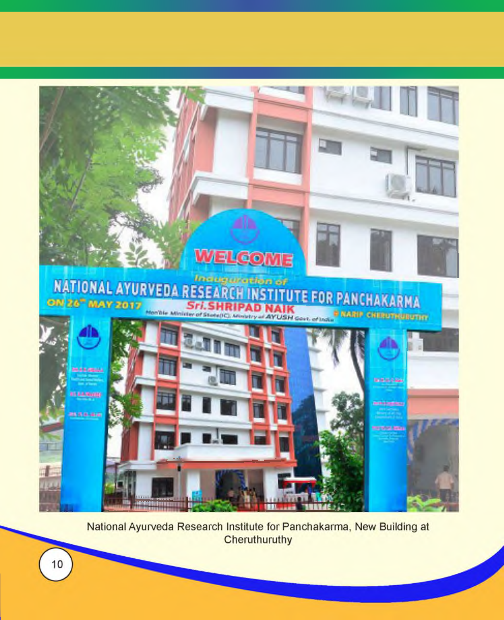

National Ayurveda Research Institute for Panchakarma, New Building at Cheruthuruthy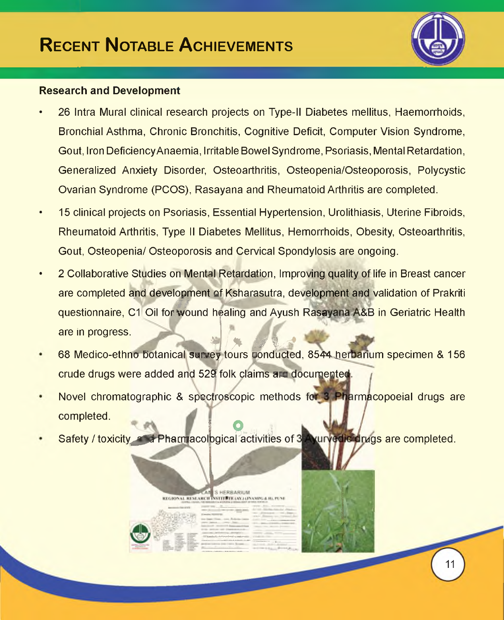

#### **Research and Development**

- 26 Intra Mural clinical research projects on Type-II Diabetes mellitus, Haemorrhoids, Bronchial Asthma, Chronic Bronchitis, Cognitive Deficit, Computer Vision Syndrome, Gout, Iron DeficiencyAnaemia, Irritable Bowel Syndrome, Psoriasis, Mental Retardation, Generalized Anxiety Disorder, Osteoarthritis, Osteopenia/Osteoporosis, Polycystic Ovarian Syndrome (PCOS), Rasayana and Rheumatoid Arthritis are completed.
- 15 clinical projects on Psoriasis, Essential Hypertension, Urolithiasis, Uterine Fibroids, Rheumatoid Arthritis, Type II Diabetes Mellitus, Hemorrhoids, Obesity, Osteoarthritis, Gout, Osteopenia/ Osteoporosis and Cervical Spondylosis are ongoing.
- 2 Collaborative Studies on Mental Retardation, Improving quality of life in Breast cancer are completed and development of Ksharasutra, development and validation of Prakriti **are compress** and development Ennomalisation, according to the religion of Franch<br>questionnaire, C1 Oil for wound healing and Ayush Rasayana A&B in Geriatric Health
- are in progress.<br>**68 Medico-ethno botanical survey tours conducted**, 8544 herbarium specimen & 156 crude drugs were added and 529 folk claims are documented
- Novel chromatographic & spectroscopic methods fo**r 3 Ph**armacopoeial drugs are completed.
- Safety / toxicity and Pharmacological activities of 3 Ayurvedic drugs are completed.



**KEGIONAL RENARCH INSTITUTE (AN.) UNANIFE & BL PLNE** 

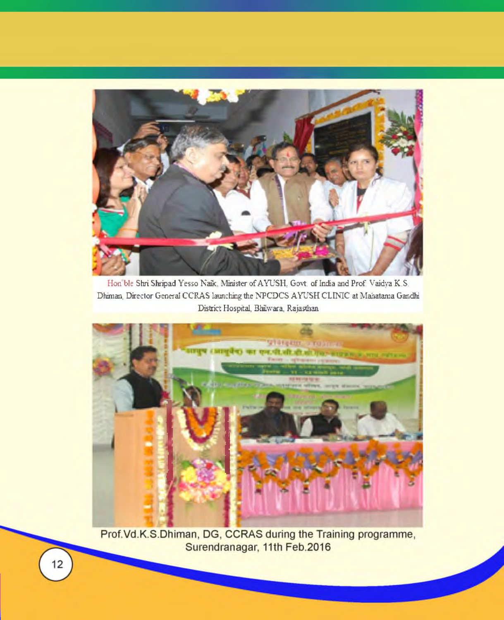

Hon ble Shri Shripad Yesso Naik. Minister of AYUSH, Govt. of India and Prof. Vaidya K.S. Dhiman, Director General CCRAS launching the XPCDCS AYUSH CLINIC at Mahatama Gandhi District Hospital, Bhilwara, Rajasthan



Prof.Vd.K.S.Dhiman, DG, CCRAS during the Training programme, Surendranagar, 11th Feb.2016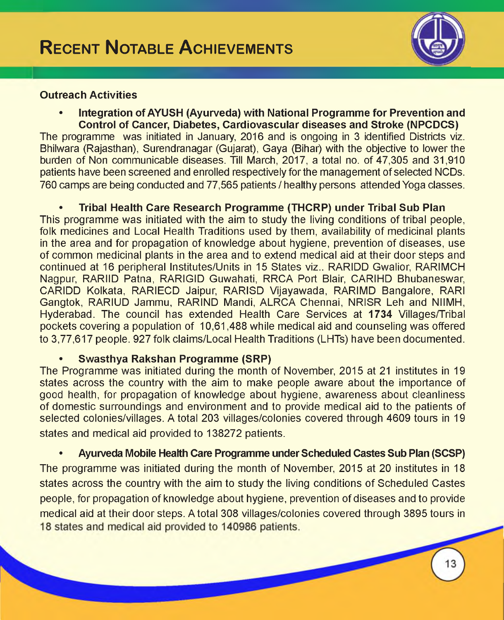

#### **Outreach Activities**

**• Integration of AYUSH (Ayurveda) with National Programme for Prevention and Control of Cancer, Diabetes, Cardiovascular diseases and Stroke (NPCDCS)**

The programme was initiated in January, 2016 and is ongoing in 3 identified Districts viz. Bhilwara (Rajasthan), Surendranagar (Gujarat), Gaya (Bihar) with the objective to lower the burden of Non communicable diseases. Till March, 2017, a total no. of 47,305 and 31,910 patients have been screened and enrolled respectively for the management of selected NCDs. 760 camps are being conducted and 77,565 patients / healthy persons attended Yoga classes.

**• Tribal Health Care Research Programme (THCRP) under Tribal Sub Plan** This programme was initiated with the aim to study the living conditions of tribal people, folk medicines and Local Health Traditions used by them, availability of medicinal plants in the area and for propagation of knowledge about hygiene, prevention of diseases, use of common medicinal plants in the area and to extend medical aid at their door steps and continued at 16 peripheral Institutes/Units in 15 States viz.. RARIDD Gwalior, RARIMCH Nagpur, RARIID Patna, RARIGID Guwahati, RRCA Port Blair, CARIHD Bhubaneswar, CARIDD Kolkata, RARIECD Jaipur, RARISD Vijayawada, RARIMD Bangalore, RARI Gangtok, RARIUD Jammu, RARIND Mandi, ALRCA Chennai, NRISR Leh and NIIMH, Hyderabad. The council has extended Health Care Services at **1734** Villages/Tribal pockets covering a population of 10,61,488 while medical aid and counseling was offered to 3,77,617 people. 927 folk claims/Local Health Traditions (LHTs) have been documented.

### **• Swasthya Rakshan Programme (SRP)**

The Programme was initiated during the month of November, 2015 at 21 institutes in 19 states across the country with the aim to make people aware about the importance of good health, for propagation of knowledge about hygiene, awareness about cleanliness of domestic surroundings and environment and to provide medical aid to the patients of selected colonies/villages. A total 203 villages/colonies covered through 4609 tours in 19 states and medical aid provided to 138272 patients.

### **• Ayurveda Mobile Health Care Programme under Scheduled Castes Sub Plan (SCSP)**

The programme was initiated during the month of November, 2015 at 20 institutes in 18 states across the country with the aim to study the living conditions of Scheduled Castes people, for propagation of knowledge about hygiene, prevention of diseases and to provide medical aid at their door steps. A total 308 villages/colonies covered through 3895 tours in18 states and medical aid provided to 140986 patients.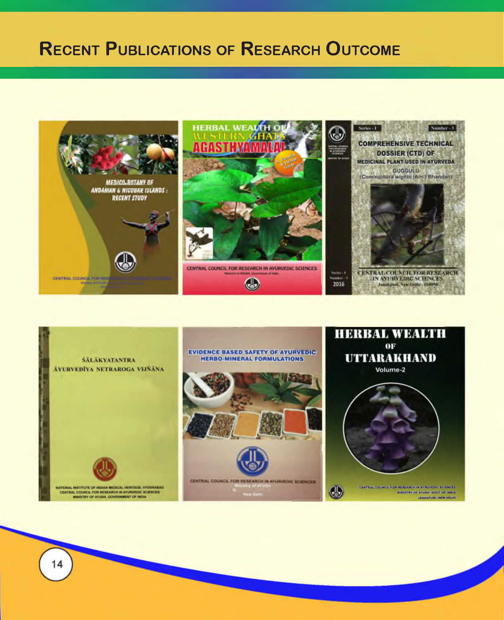### **RECENT PUBLICATIONS OF RESEARCH OUTCOME**



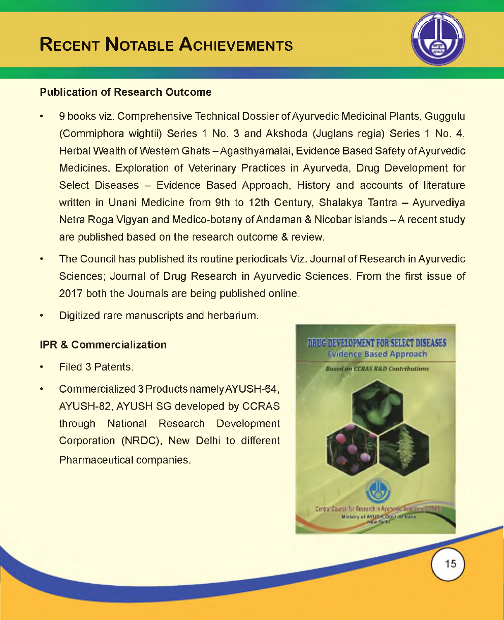

#### **Publication of Research Outcome**

- 9 books viz. Comprehensive Technical Dossier of Ayurvedic Medicinal Plants, Guggulu (Commiphora wightii) Series 1 No. 3 and Akshoda (Juglans regia) Series 1 No. 4, Herbal Wealth of Western Ghats - Agasthyamalai, Evidence Based Safety of Ayurvedic Medicines, Exploration of Veterinary Practices in Ayurveda, Drug Development for Select Diseases – Evidence Based Approach, History and accounts of literature written in Unani Medicine from 9th to 12th Century, Shalakya Tantra - Ayurvediya Netra Roga Vigyan and Medico-botany of Andaman & Nicobar islands - A recent study are published based on the research outcome & review.
- The Council has published its routine periodicals Viz. Journal of Research in Ayurvedic Sciences; Journal of Drug Research in Ayurvedic Sciences. From the first issue of 2017 both the Journals are being published online.
- Digitized rare manuscripts and herbarium.

#### **IPR & Commercialization**

- Filed 3 Patents.
- Commercialized 3 Products namely AYUSH-64, AYUSH-82, AYUSH SG developed by CCRAS through National Research Development Corporation (NRDC), New Delhi to different Pharmaceutical companies.

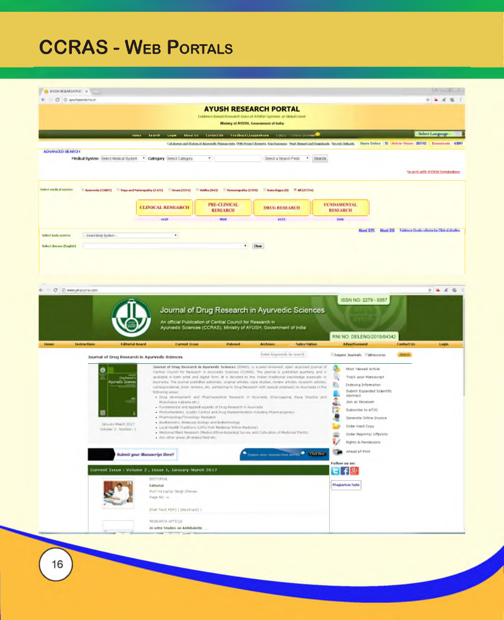### **CCRAS - WEB PORTALS**

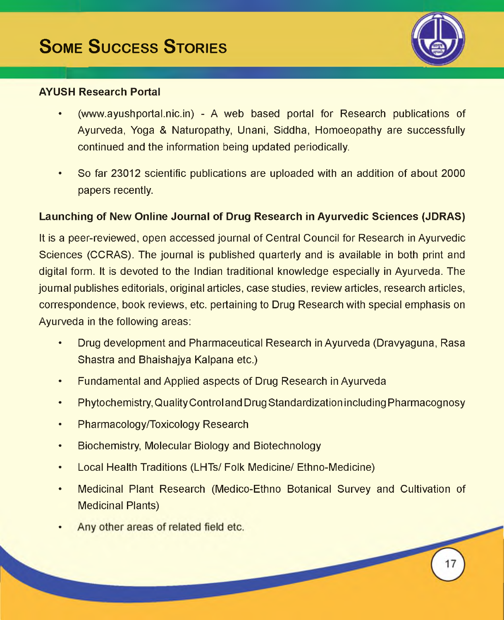

### **AYUSH Research Portal**

- [\(www.ayushportal.nic.in](http://www.ayushportal.nic.in)) A web based portal for Research publications of Ayurveda, Yoga & Naturopathy, Unani, Siddha, Homoeopathy are successfully continued and the information being updated periodically.
- So far 23012 scientific publications are uploaded with an addition of about 2000 papers recently.

#### **Launching of New Online Journal of Drug Research in Ayurvedic Sciences (JDRAS)**

It is a peer-reviewed, open accessed journal of Central Council for Research in Ayurvedic Sciences (CCRAS). The journal is published quarterly and is available in both print and digital form. It is devoted to the Indian traditional knowledge especially in Ayurveda. The journal publishes editorials, original articles, case studies, review articles, research articles, correspondence, book reviews, etc. pertaining to Drug Research with special emphasis on Ayurveda in the following areas:

- Drug development and Pharmaceutical Research in Ayurveda (Dravyaguna, Rasa Shastra and Bhaishajya Kalpana etc.)
- Fundamental and Applied aspects of Drug Research in Ayurveda
- Phytochemistry, Quality Control and Drug Standardization including Pharmacognosy
- Pharmacology/Toxicology Research
- Biochemistry, Molecular Biology and Biotechnology
- Local Health Traditions (LHTs/ Folk Medicine/ Ethno-Medicine)
- Medicinal Plant Research (Medico-Ethno Botanical Survey and Cultivation of Medicinal Plants)
- Any other areas of related field etc.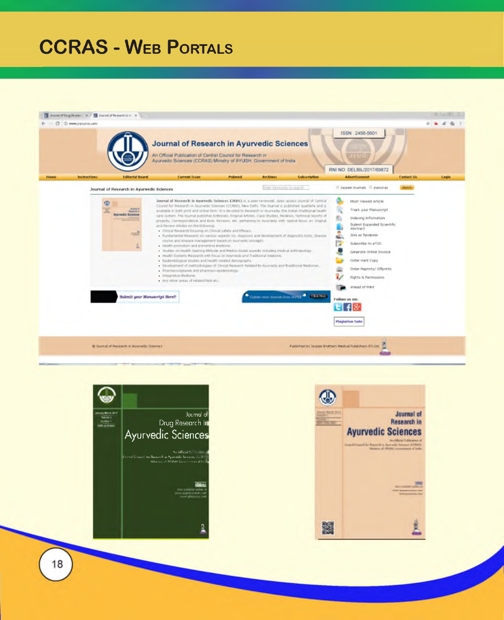## **CCRAS - WEB PORTALS**





18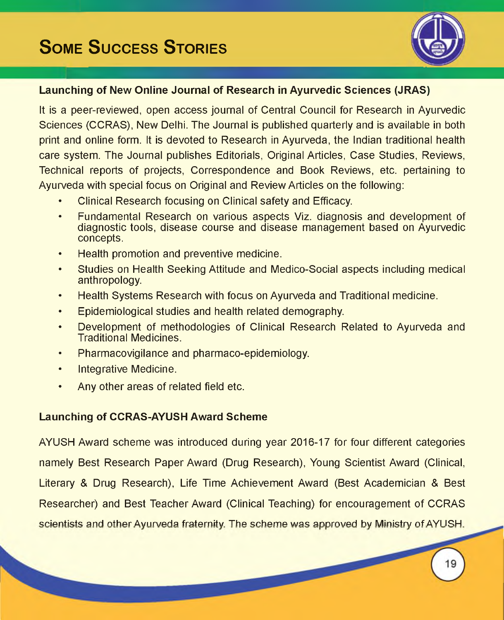

#### **Launching of New Online Journal of Research in Ayurvedic Sciences (JRAS)**

It is a peer-reviewed, open access journal of Central Council for Research in Ayurvedic Sciences (CCRAS), New Delhi. The Journal is published quarterly and is available in both print and online form. It is devoted to Research in Ayurveda, the Indian traditional health care system. The Journal publishes Editorials, Original Articles, Case Studies, Reviews, Technical reports of projects, Correspondence and Book Reviews, etc. pertaining to Ayurveda with special focus on Original and Review Articles on the following:

- Clinical Research focusing on Clinical safety and Efficacy.
- Fundamental Research on various aspects Viz. diagnosis and development of diagnostic tools, disease course and disease management based on Ayurvedic concepts.
- Health promotion and preventive medicine.
- Studies on Health Seeking Attitude and Medico-Social aspects including medical anthropology.
- Health Systems Research with focus on Ayurveda and Traditional medicine.
- Epidemiological studies and health related demography.
- Development of methodologies of Clinical Research Related to Ayurveda and Traditional Medicines.
- Pharmacovigilance and pharmaco-epidemiology.
- Integrative Medicine.
- Any other areas of related field etc.

#### **Launching of CCRAS-AYUSH Award Scheme**

AYUSH Award scheme was introduced during year 2016-17 for four different categories namely Best Research Paper Award (Drug Research), Young Scientist Award (Clinical, Literary & Drug Research), Life Time Achievement Award (Best Academician & Best Researcher) and Best Teacher Award (Clinical Teaching) for encouragement of CCRAS scientists and other Ayurveda fraternity. The scheme was approved by Ministry of AYUSH.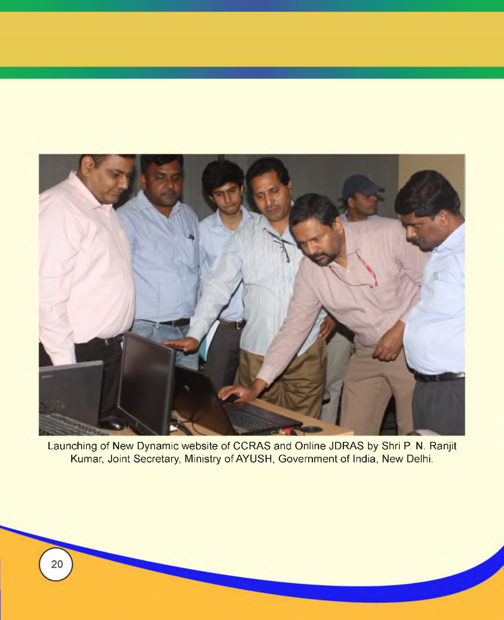

Launching of New Dynamic website of CCRAS and Online JDRAS by Shri P. N. Ranjit Kumar, Joint Secretary, Ministry of AYUSH, Government of India, New Delhi.

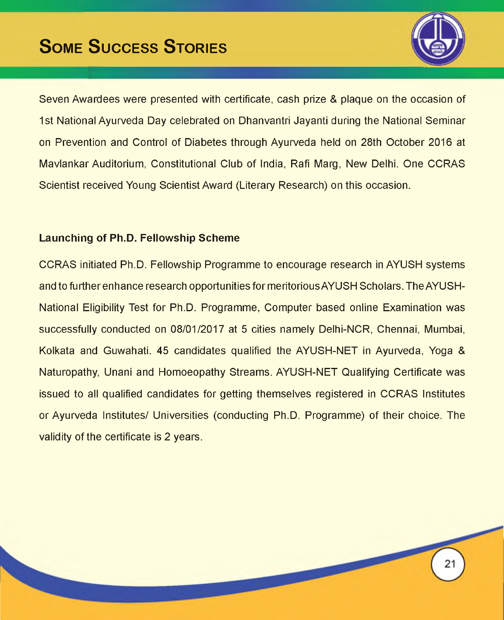## **SOME SUCCESS STORIES**



21

Seven Awardees were presented with certificate, cash prize & plaque on the occasion of 1st National Ayurveda Day celebrated on Dhanvantri Jayanti during the National Seminar on Prevention and Control of Diabetes through Ayurveda held on 28th October 2016 at Mavlankar Auditorium, Constitutional Club of India, Rafi Marg, New Delhi. One CCRAS Scientist received Young Scientist Award (Literary Research) on this occasion.

### **Launching of Ph.D. Fellowship Scheme**

CCRAS initiated Ph.D. Fellowship Programme to encourage research in AYUSH systems and to further enhance research opportunities for meritorious AYUSH Scholars. The AYUSH-National Eligibility Test for Ph.D. Programme, Computer based online Examination was successfully conducted on 08/01/2017 at 5 cities namely Delhi-NCR, Chennai, Mumbai, Kolkata and Guwahati. 45 candidates qualified the AYUSH-NET in Ayurveda, Yoga & Naturopathy, Unani and Homoeopathy Streams. AYUSH-NET Qualifying Certificate was issued to all qualified candidates for getting themselves registered in CCRAS Institutes or Ayurveda Institutes/ Universities (conducting Ph.D. Programme) of their choice. The validity of the certificate is 2 years.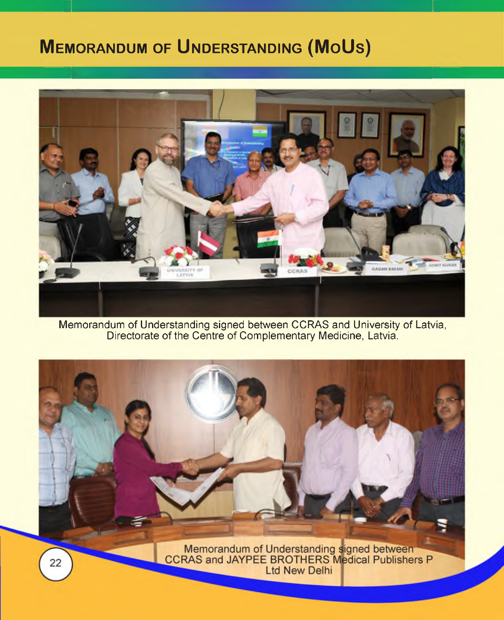# **MEMORANDUM OF UNDERSTANDING (MoUS)**



■ ■

Memorandum of Understanding signed between CCRAS and University of Latvia, Directorate of the Centre of Complementary Medicine, Latvia.

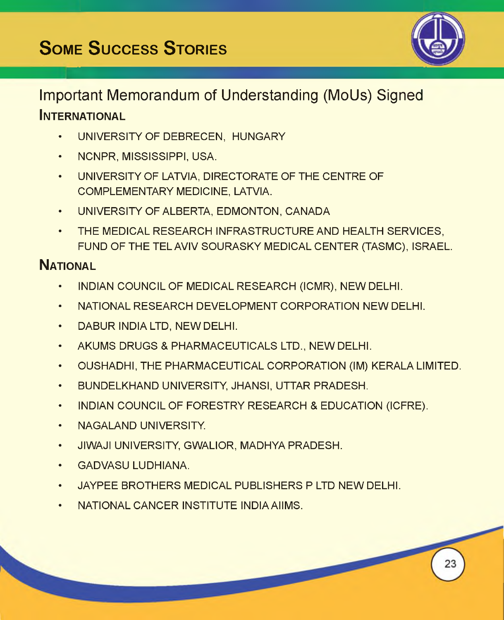

# Important Memorandum of Understanding (MoUs) Signed

### **INTERNATIONAL**

- UNIVERSITY OF DEBRECEN, HUNGARY
- NCNPR, MISSISSIPPI, USA.
- UNIVERSITY OF LATVIA, DIRECTORATE OF THE CENTRE OF COMPLEMENTARY MEDICINE, LATVIA.
- UNIVERSITY OF ALBERTA, EDMONTON, CANADA
- THE MEDICAL RESEARCH INFRASTRUCTURE AND HEALTH SERVICES, FUND OF THE TEL AVIV SOURASKY MEDICAL CENTER (TASMC), ISRAEL.

### **NATIONAL**

- INDIAN COUNCIL OF MEDICAL RESEARCH (ICMR), NEW DELHI.
- NATIONAL RESEARCH DEVELOPMENT CORPORATION NEW DELHI.
- DABUR INDIA LTD, NEW DELHI.
- AKUMS DRUGS & PHARMACEUTICALS LTD., NEW DELHI.
- OUSHADHI, THE PHARMACEUTICAL CORPORATION (IM) KERALA LIMITED.
- BUNDELKHAND UNIVERSITY, JHANSI, UTTAR PRADESH.
- INDIAN COUNCIL OF FORESTRY RESEARCH & EDUCATION (ICFRE).
- NAGALAND UNIVERSITY.
- JIWAJI UNIVERSITY, GWALIOR, MADHYA PRADESH.
- GADVASU LUDHIANA.
- JAYPEE BROTHERS MEDICAL PUBLISHERS P LTD NEW DELHI.
- NATIONAL CANCER INSTITUTE INDIA AIIMS.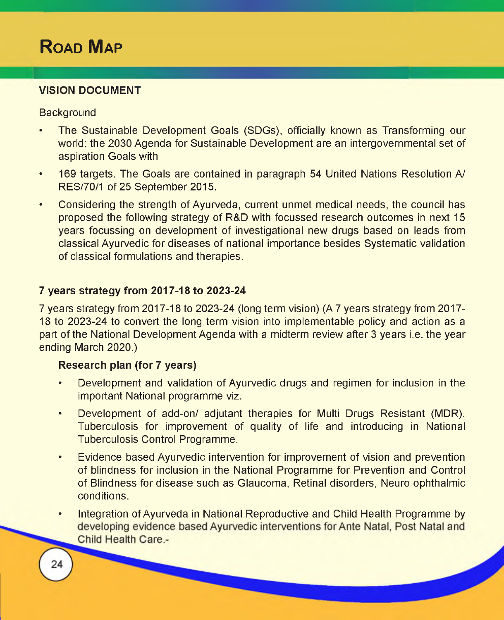### **VISION DOCUMENT**

#### **Background**

- The Sustainable Development Goals (SDGs), officially known as Transforming our world: the 2030 Agenda for Sustainable Development are an intergovernmental set of aspiration Goals with
- 169 targets. The Goals are contained in paragraph 54 United Nations Resolution A/ RES/70/1 of 25 September 2015.
- Considering the strength of Ayurveda, current unmet medical needs, the council has proposed the following strategy of R&D with focussed research outcomes in next 15 years focussing on development of investigational new drugs based on leads from classical Ayurvedic for diseases of national importance besides Systematic validation of classical formulations and therapies.

### **7 years strategy from 2017-18 to 2023-24**

7 years strategy from 2017-18 to 2023-24 (long term vision) (A 7 years strategy from 2017 18 to 2023-24 to convert the long term vision into implementable policy and action as a part of the National Development Agenda with a midterm review after 3 years i.e. the year ending March 2020.)

### **Research plan (for 7 years)**

- Development and validation of Ayurvedic drugs and regimen for inclusion in the important National programme viz.
- Development of add-on/ adjutant therapies for Multi Drugs Resistant (MDR), Tuberculosis for improvement of quality of life and introducing in National Tuberculosis Control Programme.
- Evidence based Ayurvedic intervention for improvement of vision and prevention of blindness for inclusion in the National Programme for Prevention and Control of Blindness for disease such as Glaucoma, Retinal disorders, Neuro ophthalmic conditions.
- Integration of Ayurveda in National Reproductive and Child Health Programme bydeveloping evidence based Ayurvedic interventions for Ante Natal, Post Natal and Child Health Care.-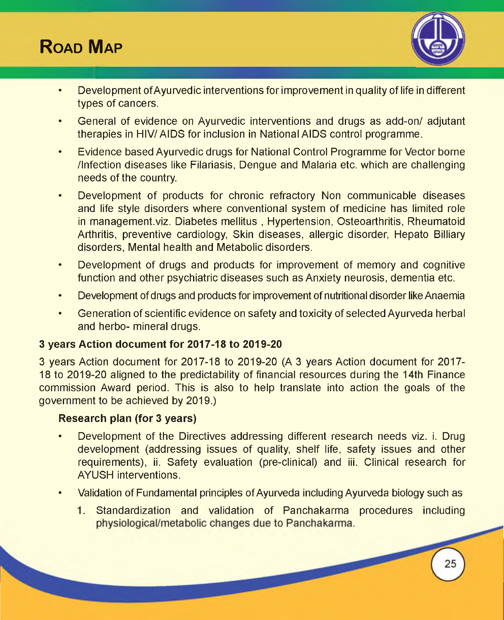## **Road Map**



- Development of Ayurvedic interventions for improvement in quality of life in different types of cancers.
- General of evidence on Ayurvedic interventions and drugs as add-on/ adjutant therapies in HIV/ AIDS for inclusion in National AIDS control programme.
- Evidence based Ayurvedic drugs for National Control Programme for Vector borne /Infection diseases like Filariasis, Dengue and Malaria etc. which are challenging needs of the country.
- Development of products for chronic refractory Non communicable diseases and life style disorders where conventional system of medicine has limited role in management.viz. Diabetes mellitus , Hypertension, Osteoarthritis, Rheumatoid Arthritis, preventive cardiology, Skin diseases, allergic disorder, Hepato Billiary disorders, Mental health and Metabolic disorders.
- Development of drugs and products for improvement of memory and cognitive function and other psychiatric diseases such as Anxiety neurosis, dementia etc.
- Development of drugs and products for improvement of nutritional disorder like Anaemia
- Generation of scientific evidence on safety and toxicity of selected Ayurveda herbal and herbo- mineral drugs.

#### **3 years Action document for 2017-18 to 2019-20**

3 years Action document for 2017-18 to 2019-20 (A 3 years Action document for 2017 18 to 2019-20 aligned to the predictability of financial resources during the 14th Finance commission Award period. This is also to help translate into action the goals of the government to be achieved by 2019.)

#### **Research plan (for 3 years)**

- Development of the Directives addressing different research needs viz. i. Drug development (addressing issues of quality, shelf life, safety issues and other requirements), ii. Safety evaluation (pre-clinical) and iii. Clinical research for AYUSH interventions.
- Validation of Fundamental principles of Ayurveda including Ayurveda biology such as
	- 1. Standardization and validation of Panchakarma procedures includingphysiological/metabolic changes due to Panchakarma.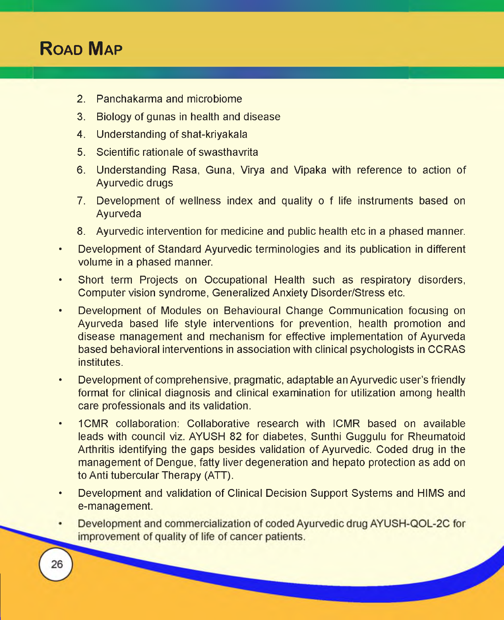### **Road Map**

- 2. Panchakarma and microbiome
- 3. Biology of gunas in health and disease
- 4. Understanding of shat-kriyakala
- 5. Scientific rationale of swasthavrita
- 6. Understanding Rasa, Guna, Virya and Vipaka with reference to action of Ayurvedic drugs
- 7. Development of wellness index and quality o f life instruments based on Ayurveda
- 8. Ayurvedic intervention for medicine and public health etc in a phased manner.
- Development of Standard Ayurvedic terminologies and its publication in different volume in a phased manner.
- Short term Projects on Occupational Health such as respiratory disorders, Computer vision syndrome, Generalized Anxiety Disorder/Stress etc.
- Development of Modules on Behavioural Change Communication focusing on Ayurveda based life style interventions for prevention, health promotion and disease management and mechanism for effective implementation of Ayurveda based behavioral interventions in association with clinical psychologists in CCRAS institutes.
- Development of comprehensive, pragmatic, adaptable an Ayurvedic user's friendly format for clinical diagnosis and clinical examination for utilization among health care professionals and its validation.
- 1CMR collaboration: Collaborative research with ICMR based on available leads with council viz. AYUSH 82 for diabetes, Sunthi Guggulu for Rheumatoid Arthritis identifying the gaps besides validation of Ayurvedic. Coded drug in the management of Dengue, fatty liver degeneration and hepato protection as add on to Anti tubercular Therapy (ATT).
- Development and validation of Clinical Decision Support Systems and HIMS and e-management.
- Development and commercialization of coded Ayurvedic drug AYUSH-QOL-2C for ٠ improvement of quality of life of cancer patients.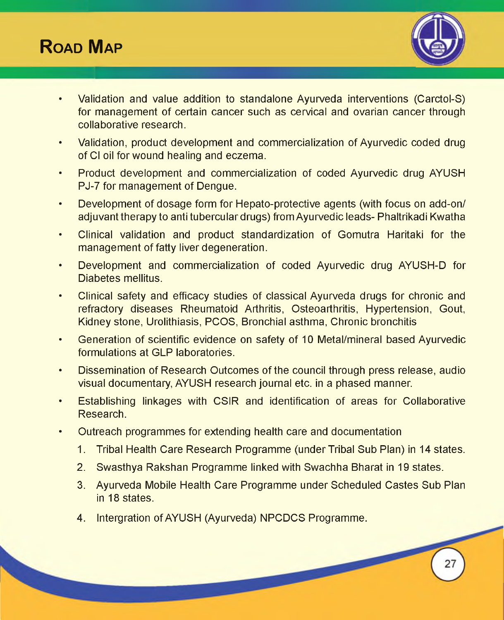## **Road Map**



- Validation and value addition to standalone Ayurveda interventions (Carctol-S) for management of certain cancer such as cervical and ovarian cancer through collaborative research.
- Validation, product development and commercialization of Ayurvedic coded drug of Cl oil for wound healing and eczema.
- Product development and commercialization of coded Ayurvedic drug AYUSH PJ-7 for management of Dengue.
- Development of dosage form for Hepato-protective agents (with focus on add-on/ adjuvant therapy to anti tubercular drugs) from Ayurvedic leads- Phaltrikadi Kwatha
- Clinical validation and product standardization of Gomutra Haritaki for the management of fatty liver degeneration.
- Development and commercialization of coded Ayurvedic drug AYUSH-D for Diabetes mellitus.
- Clinical safety and efficacy studies of classical Ayurveda drugs for chronic and refractory diseases Rheumatoid Arthritis, Osteoarthritis, Hypertension, Gout, Kidney stone, Urolithiasis, PCOS, Bronchial asthma, Chronic bronchitis
- Generation of scientific evidence on safety of 10 Metal/mineral based Ayurvedic formulations at GLP laboratories.
- Dissemination of Research Outcomes of the council through press release, audio visual documentary, AYUSH research journal etc. in a phased manner.
- Establishing linkages with CSIR and identification of areas for Collaborative Research.
- Outreach programmes for extending health care and documentation
	- 1. Tribal Health Care Research Programme (under Tribal Sub Plan) in 14 states.
	- 2. Swasthya Rakshan Programme linked with Swachha Bharat in 19 states.
	- 3. Ayurveda Mobile Health Care Programme under Scheduled Castes Sub Plan in 18 states.
	- 4. Intergration of AYUSH (Ayurveda) NPCDCS Programme.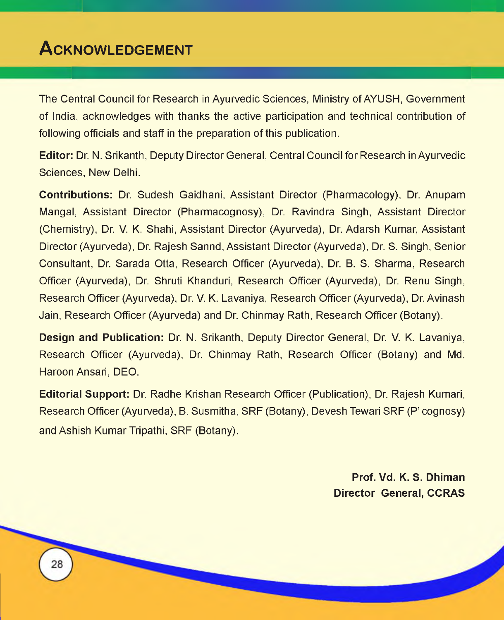### **ACKNOWLEDGEMENT**

The Central Council for Research in Ayurvedic Sciences, Ministry of AYUSH, Government of India, acknowledges with thanks the active participation and technical contribution of following officials and staff in the preparation of this publication.

**Editor:** Dr. N. Srikanth, Deputy Director General, Central Council for Research in Ayurvedic Sciences, New Delhi.

**Contributions:** Dr. Sudesh Gaidhani, Assistant Director (Pharmacology), Dr. Anupam Mangal, Assistant Director (Pharmacognosy), Dr. Ravindra Singh, Assistant Director (Chemistry), Dr. V. K. Shahi, Assistant Director (Ayurveda), Dr. Adarsh Kumar, Assistant Director (Ayurveda), Dr. Rajesh Sannd, Assistant Director (Ayurveda), Dr. S. Singh, Senior Consultant, Dr. Sarada Otta, Research Officer (Ayurveda), Dr. B. S. Sharma, Research Officer (Ayurveda), Dr. Shruti Khanduri, Research Officer (Ayurveda), Dr. Renu Singh, Research Officer (Ayurveda), Dr. V. K. Lavaniya, Research Officer (Ayurveda), Dr. Avinash Jain, Research Officer (Ayurveda) and Dr. Chinmay Rath, Research Officer (Botany).

**Design and Publication:** Dr. N. Srikanth, Deputy Director General, Dr. V. K. Lavaniya, Research Officer (Ayurveda), Dr. Chinmay Rath, Research Officer (Botany) and Md. Haroon Ansari, DEO.

**Editorial Support:** Dr. Radhe Krishan Research Officer (Publication), Dr. Rajesh Kumari, Research Officer (Ayurveda), B. Susmitha, SRF (Botany), Devesh Tewari SRF (P' cognosy) and Ashish Kumar Tripathi, SRF (Botany).

> **Prof. Vd. K. S. Dhiman Director General, CCRAS**

28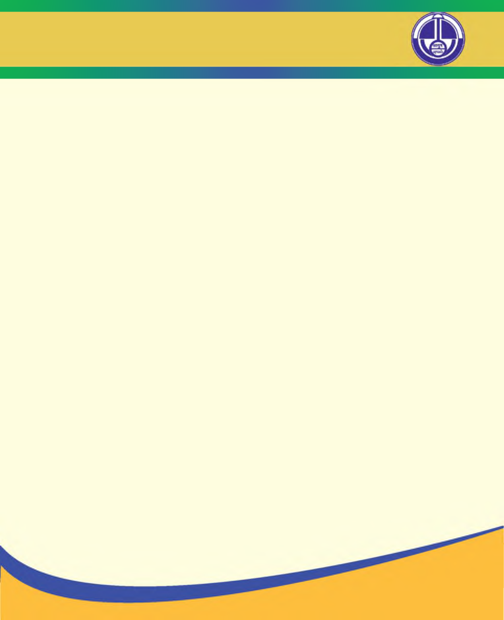